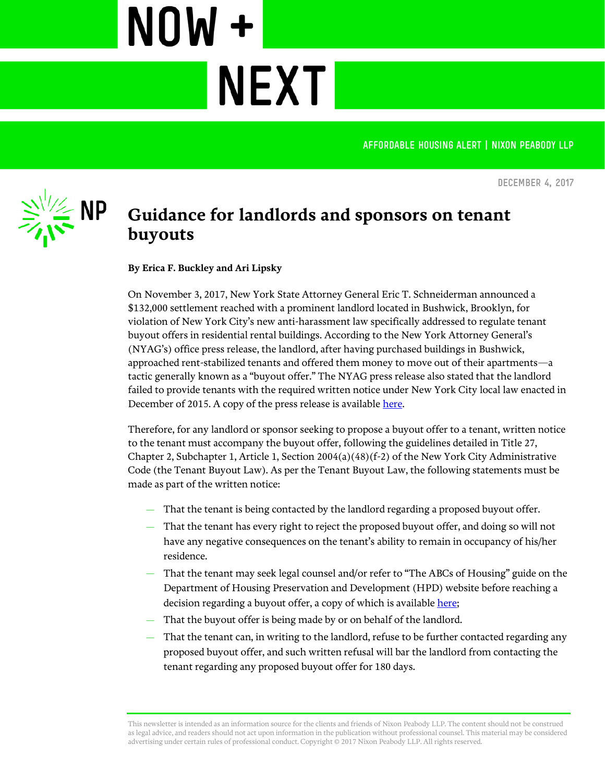AFFORDABLE HOUSING ALERT | NIXON PEABODY LLP

**December 4, 2017**



## **Guidance for landlords and sponsors on tenant buyouts**

**NEXT** 

**By Erica F. Buckley and Ari Lipsky**

NOW +

On November 3, 2017, New York State Attorney General Eric T. Schneiderman announced a \$132,000 settlement reached with a prominent landlord located in Bushwick, Brooklyn, for violation of New York City's new anti-harassment law specifically addressed to regulate tenant buyout offers in residential rental buildings. According to the New York Attorney General's (NYAG's) office press release, the landlord, after having purchased buildings in Bushwick, approached rent-stabilized tenants and offered them money to move out of their apartments—a tactic generally known as a "buyout offer." The NYAG press release also stated that the landlord failed to provide tenants with the required written notice under New York City local law enacted in December of 2015. A copy of the press release is availabl[e here.](https://ag.ny.gov/press-release/ag-schneiderman-announces-132k-settlement-bushwick-landlords-harassing-tenants-illegal)

Therefore, for any landlord or sponsor seeking to propose a buyout offer to a tenant, written notice to the tenant must accompany the buyout offer, following the guidelines detailed in Title 27, Chapter 2, Subchapter 1, Article 1, Section 2004(a)(48)(f-2) of the New York City Administrative Code (the Tenant Buyout Law). As per the Tenant Buyout Law, the following statements must be made as part of the written notice:

- That the tenant is being contacted by the landlord regarding a proposed buyout offer.
- That the tenant has every right to reject the proposed buyout offer, and doing so will not have any negative consequences on the tenant's ability to remain in occupancy of his/her residence.
- That the tenant may seek legal counsel and/or refer to "The ABCs of Housing" guide on the Department of Housing Preservation and Development (HPD) website before reaching a decision regarding a buyout offer, a copy of which is availabl[e here;](http://www1.nyc.gov/assets/hpd/downloads/pdf/renter-resources/abcs-of-housing.pdf)
- That the buyout offer is being made by or on behalf of the landlord.
- That the tenant can, in writing to the landlord, refuse to be further contacted regarding any proposed buyout offer, and such written refusal will bar the landlord from contacting the tenant regarding any proposed buyout offer for 180 days.

This newsletter is intended as an information source for the clients and friends of Nixon Peabody LLP. The content should not be construed as legal advice, and readers should not act upon information in the publication without professional counsel. This material may be considered advertising under certain rules of professional conduct. Copyright © 2017 Nixon Peabody LLP. All rights reserved.